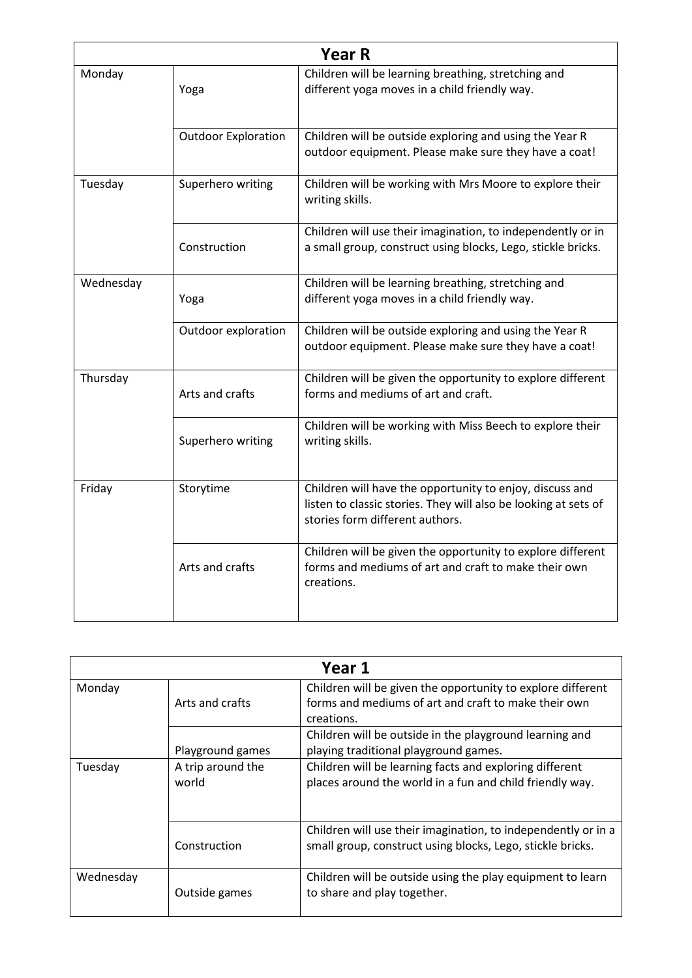| <b>Year R</b> |                            |                                                                                                                                                                |
|---------------|----------------------------|----------------------------------------------------------------------------------------------------------------------------------------------------------------|
| Monday        | Yoga                       | Children will be learning breathing, stretching and<br>different yoga moves in a child friendly way.                                                           |
|               | <b>Outdoor Exploration</b> | Children will be outside exploring and using the Year R<br>outdoor equipment. Please make sure they have a coat!                                               |
| Tuesday       | Superhero writing          | Children will be working with Mrs Moore to explore their<br>writing skills.                                                                                    |
|               | Construction               | Children will use their imagination, to independently or in<br>a small group, construct using blocks, Lego, stickle bricks.                                    |
| Wednesday     | Yoga                       | Children will be learning breathing, stretching and<br>different yoga moves in a child friendly way.                                                           |
|               | Outdoor exploration        | Children will be outside exploring and using the Year R<br>outdoor equipment. Please make sure they have a coat!                                               |
| Thursday      | Arts and crafts            | Children will be given the opportunity to explore different<br>forms and mediums of art and craft.                                                             |
|               | Superhero writing          | Children will be working with Miss Beech to explore their<br>writing skills.                                                                                   |
| Friday        | Storytime                  | Children will have the opportunity to enjoy, discuss and<br>listen to classic stories. They will also be looking at sets of<br>stories form different authors. |
|               | Arts and crafts            | Children will be given the opportunity to explore different<br>forms and mediums of art and craft to make their own<br>creations.                              |

| Year 1    |                            |                                                                                                                                   |
|-----------|----------------------------|-----------------------------------------------------------------------------------------------------------------------------------|
| Monday    | Arts and crafts            | Children will be given the opportunity to explore different<br>forms and mediums of art and craft to make their own<br>creations. |
|           | Playground games           | Children will be outside in the playground learning and<br>playing traditional playground games.                                  |
| Tuesday   | A trip around the<br>world | Children will be learning facts and exploring different<br>places around the world in a fun and child friendly way.               |
|           | Construction               | Children will use their imagination, to independently or in a<br>small group, construct using blocks, Lego, stickle bricks.       |
| Wednesday | Outside games              | Children will be outside using the play equipment to learn<br>to share and play together.                                         |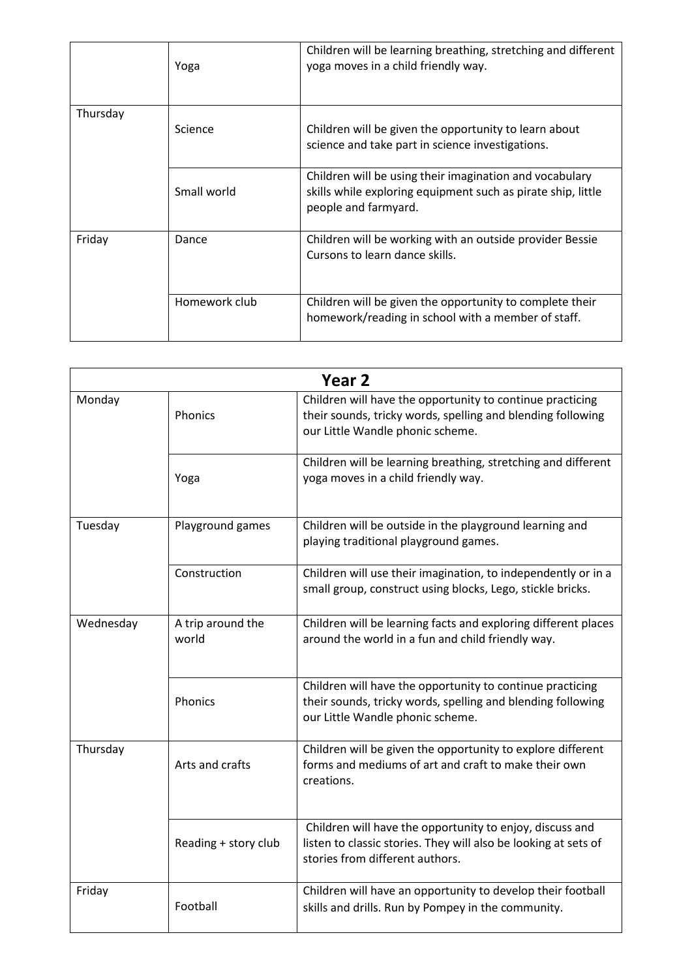|          | Yoga          | Children will be learning breathing, stretching and different<br>yoga moves in a child friendly way.                                            |
|----------|---------------|-------------------------------------------------------------------------------------------------------------------------------------------------|
| Thursday | Science       | Children will be given the opportunity to learn about<br>science and take part in science investigations.                                       |
|          | Small world   | Children will be using their imagination and vocabulary<br>skills while exploring equipment such as pirate ship, little<br>people and farmyard. |
| Friday   | Dance         | Children will be working with an outside provider Bessie<br>Cursons to learn dance skills.                                                      |
|          | Homework club | Children will be given the opportunity to complete their<br>homework/reading in school with a member of staff.                                  |

|           | Year <sub>2</sub>          |                                                                                                                                                                |  |
|-----------|----------------------------|----------------------------------------------------------------------------------------------------------------------------------------------------------------|--|
| Monday    | Phonics                    | Children will have the opportunity to continue practicing<br>their sounds, tricky words, spelling and blending following<br>our Little Wandle phonic scheme.   |  |
|           | Yoga                       | Children will be learning breathing, stretching and different<br>yoga moves in a child friendly way.                                                           |  |
| Tuesday   | Playground games           | Children will be outside in the playground learning and<br>playing traditional playground games.                                                               |  |
|           | Construction               | Children will use their imagination, to independently or in a<br>small group, construct using blocks, Lego, stickle bricks.                                    |  |
| Wednesday | A trip around the<br>world | Children will be learning facts and exploring different places<br>around the world in a fun and child friendly way.                                            |  |
|           | Phonics                    | Children will have the opportunity to continue practicing<br>their sounds, tricky words, spelling and blending following<br>our Little Wandle phonic scheme.   |  |
| Thursday  | Arts and crafts            | Children will be given the opportunity to explore different<br>forms and mediums of art and craft to make their own<br>creations.                              |  |
|           | Reading + story club       | Children will have the opportunity to enjoy, discuss and<br>listen to classic stories. They will also be looking at sets of<br>stories from different authors. |  |
| Friday    | Football                   | Children will have an opportunity to develop their football<br>skills and drills. Run by Pompey in the community.                                              |  |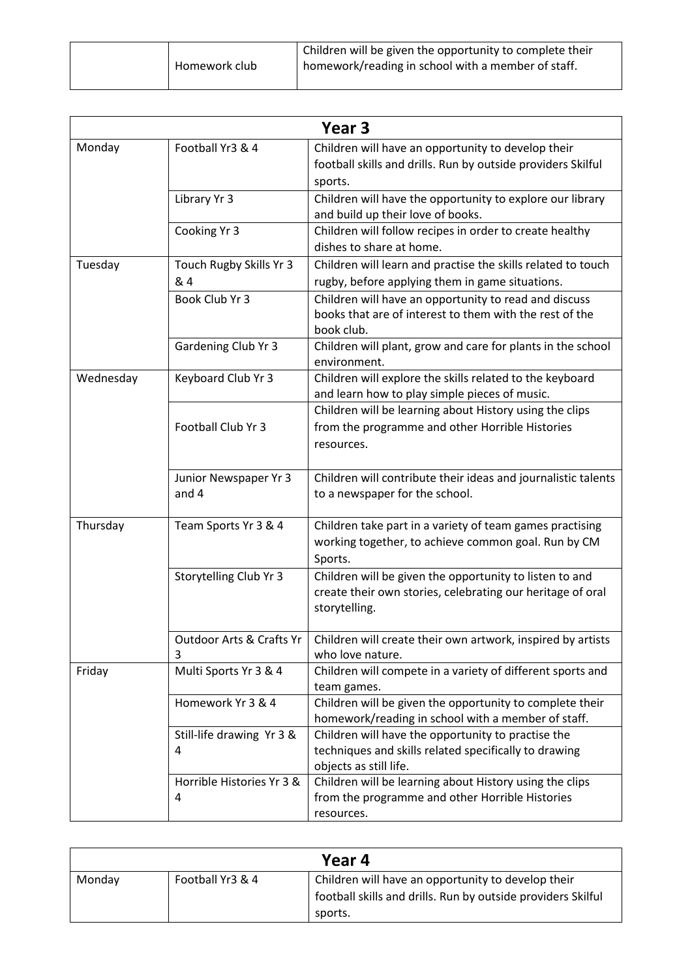| Homework club | Children will be given the opportunity to complete their<br>I homework/reading in school with a member of staff. |
|---------------|------------------------------------------------------------------------------------------------------------------|
|               |                                                                                                                  |

| Year <sub>3</sub> |                                          |                                                                                                                                        |
|-------------------|------------------------------------------|----------------------------------------------------------------------------------------------------------------------------------------|
| Monday            | Football Yr3 & 4                         | Children will have an opportunity to develop their<br>football skills and drills. Run by outside providers Skilful<br>sports.          |
|                   | Library Yr 3                             | Children will have the opportunity to explore our library<br>and build up their love of books.                                         |
|                   | Cooking Yr 3                             | Children will follow recipes in order to create healthy<br>dishes to share at home.                                                    |
| Tuesday           | Touch Rugby Skills Yr 3<br>& 4           | Children will learn and practise the skills related to touch<br>rugby, before applying them in game situations.                        |
|                   | Book Club Yr 3                           | Children will have an opportunity to read and discuss<br>books that are of interest to them with the rest of the<br>book club.         |
|                   | Gardening Club Yr 3                      | Children will plant, grow and care for plants in the school<br>environment.                                                            |
| Wednesday         | Keyboard Club Yr 3                       | Children will explore the skills related to the keyboard<br>and learn how to play simple pieces of music.                              |
|                   | Football Club Yr 3                       | Children will be learning about History using the clips<br>from the programme and other Horrible Histories<br>resources.               |
|                   | Junior Newspaper Yr 3<br>and 4           | Children will contribute their ideas and journalistic talents<br>to a newspaper for the school.                                        |
| Thursday          | Team Sports Yr 3 & 4                     | Children take part in a variety of team games practising<br>working together, to achieve common goal. Run by CM<br>Sports.             |
|                   | Storytelling Club Yr 3                   | Children will be given the opportunity to listen to and<br>create their own stories, celebrating our heritage of oral<br>storytelling. |
|                   | <b>Outdoor Arts &amp; Crafts Yr</b><br>3 | Children will create their own artwork, inspired by artists<br>who love nature.                                                        |
| Friday            | Multi Sports Yr 3 & 4                    | Children will compete in a variety of different sports and<br>team games.                                                              |
|                   | Homework Yr 3 & 4                        | Children will be given the opportunity to complete their<br>homework/reading in school with a member of staff.                         |
|                   | Still-life drawing Yr 3 &<br>4           | Children will have the opportunity to practise the<br>techniques and skills related specifically to drawing<br>objects as still life.  |
|                   | Horrible Histories Yr 3 &<br>4           | Children will be learning about History using the clips<br>from the programme and other Horrible Histories<br>resources.               |

| Year 4 |                  |                                                                                                                               |
|--------|------------------|-------------------------------------------------------------------------------------------------------------------------------|
| Monday | Football Yr3 & 4 | Children will have an opportunity to develop their<br>football skills and drills. Run by outside providers Skilful<br>sports. |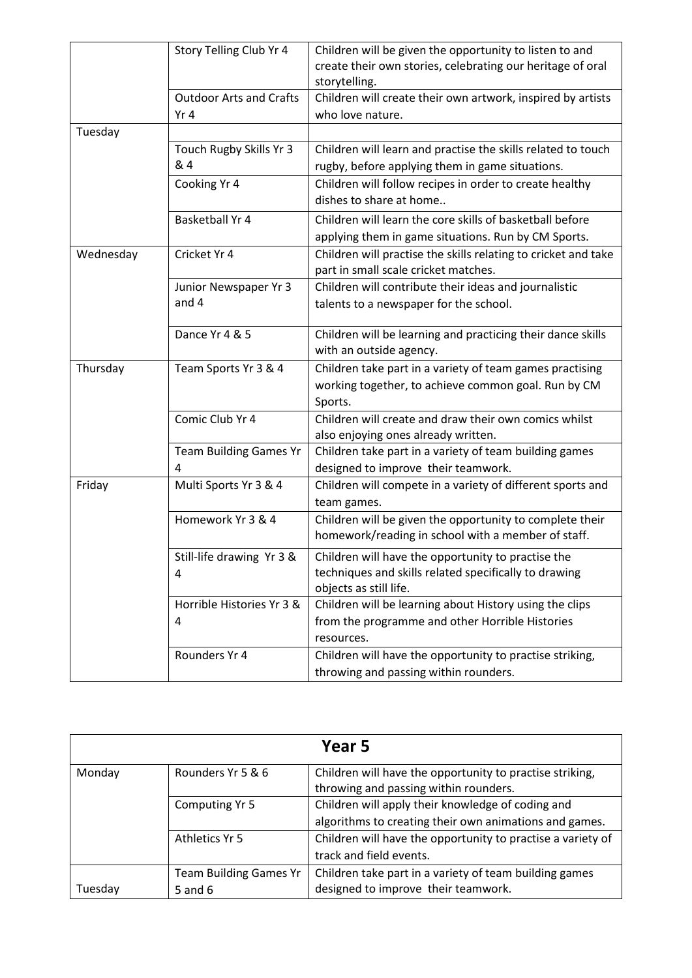|           | Story Telling Club Yr 4        | Children will be given the opportunity to listen to and        |
|-----------|--------------------------------|----------------------------------------------------------------|
|           |                                | create their own stories, celebrating our heritage of oral     |
|           |                                | storytelling.                                                  |
|           | <b>Outdoor Arts and Crafts</b> | Children will create their own artwork, inspired by artists    |
|           | Yr <sub>4</sub>                | who love nature.                                               |
| Tuesday   |                                |                                                                |
|           | Touch Rugby Skills Yr 3        | Children will learn and practise the skills related to touch   |
|           | & 4                            | rugby, before applying them in game situations.                |
|           | Cooking Yr 4                   | Children will follow recipes in order to create healthy        |
|           |                                | dishes to share at home                                        |
|           | <b>Basketball Yr 4</b>         | Children will learn the core skills of basketball before       |
|           |                                | applying them in game situations. Run by CM Sports.            |
| Wednesday | Cricket Yr 4                   | Children will practise the skills relating to cricket and take |
|           |                                | part in small scale cricket matches.                           |
|           | Junior Newspaper Yr 3          | Children will contribute their ideas and journalistic          |
|           | and 4                          | talents to a newspaper for the school.                         |
|           |                                |                                                                |
|           | Dance Yr 4 & 5                 | Children will be learning and practicing their dance skills    |
|           |                                | with an outside agency.                                        |
| Thursday  | Team Sports Yr 3 & 4           | Children take part in a variety of team games practising       |
|           |                                | working together, to achieve common goal. Run by CM            |
|           |                                | Sports.                                                        |
|           | Comic Club Yr 4                | Children will create and draw their own comics whilst          |
|           |                                | also enjoying ones already written.                            |
|           | <b>Team Building Games Yr</b>  | Children take part in a variety of team building games         |
|           | 4                              | designed to improve their teamwork.                            |
| Friday    | Multi Sports Yr 3 & 4          | Children will compete in a variety of different sports and     |
|           |                                | team games.                                                    |
|           | Homework Yr 3 & 4              | Children will be given the opportunity to complete their       |
|           |                                | homework/reading in school with a member of staff.             |
|           | Still-life drawing Yr 3 &      | Children will have the opportunity to practise the             |
|           | 4                              | techniques and skills related specifically to drawing          |
|           |                                | objects as still life.                                         |
|           | Horrible Histories Yr 3 &      | Children will be learning about History using the clips        |
|           | 4                              | from the programme and other Horrible Histories                |
|           |                                | resources.                                                     |
|           | Rounders Yr 4                  | Children will have the opportunity to practise striking,       |
|           |                                | throwing and passing within rounders.                          |

| Year 5  |                               |                                                             |
|---------|-------------------------------|-------------------------------------------------------------|
| Monday  | Rounders Yr 5 & 6             | Children will have the opportunity to practise striking,    |
|         |                               | throwing and passing within rounders.                       |
|         | Computing Yr 5                | Children will apply their knowledge of coding and           |
|         |                               | algorithms to creating their own animations and games.      |
|         | Athletics Yr 5                | Children will have the opportunity to practise a variety of |
|         |                               | track and field events.                                     |
|         | <b>Team Building Games Yr</b> | Children take part in a variety of team building games      |
| Tuesday | 5 and $6$                     | designed to improve their teamwork.                         |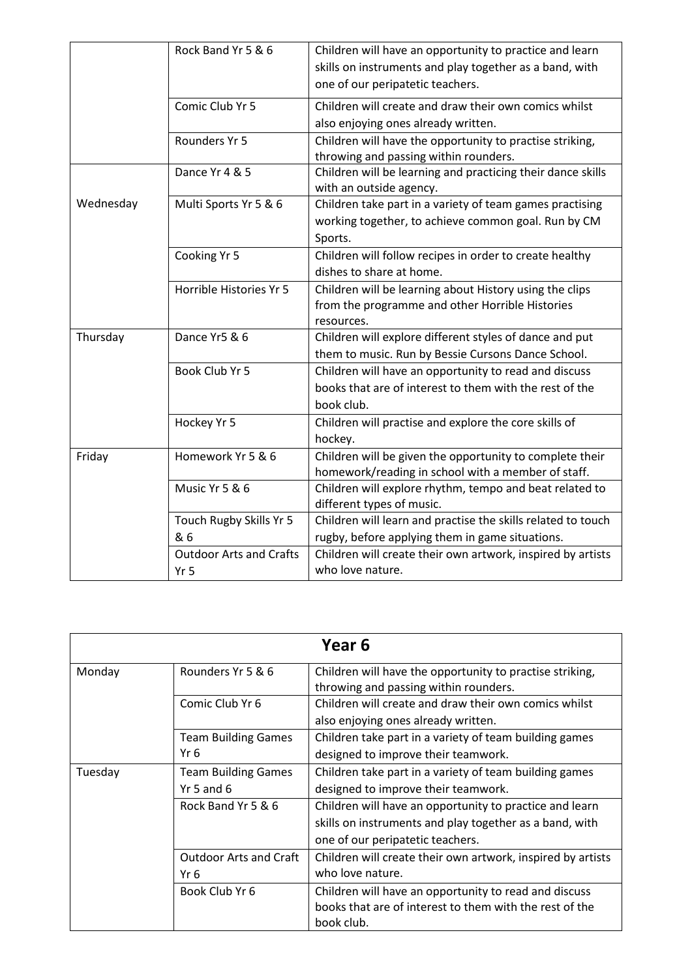|           | Rock Band Yr 5 & 6             | Children will have an opportunity to practice and learn      |
|-----------|--------------------------------|--------------------------------------------------------------|
|           |                                | skills on instruments and play together as a band, with      |
|           |                                | one of our peripatetic teachers.                             |
|           |                                |                                                              |
|           | Comic Club Yr 5                | Children will create and draw their own comics whilst        |
|           |                                | also enjoying ones already written.                          |
|           | Rounders Yr 5                  | Children will have the opportunity to practise striking,     |
|           |                                | throwing and passing within rounders.                        |
|           | Dance Yr 4 & 5                 | Children will be learning and practicing their dance skills  |
|           |                                | with an outside agency.                                      |
| Wednesday | Multi Sports Yr 5 & 6          | Children take part in a variety of team games practising     |
|           |                                | working together, to achieve common goal. Run by CM          |
|           |                                | Sports.                                                      |
|           | Cooking Yr 5                   | Children will follow recipes in order to create healthy      |
|           |                                | dishes to share at home.                                     |
|           | Horrible Histories Yr 5        | Children will be learning about History using the clips      |
|           |                                | from the programme and other Horrible Histories              |
|           |                                | resources.                                                   |
| Thursday  | Dance Yr5 & 6                  | Children will explore different styles of dance and put      |
|           |                                | them to music. Run by Bessie Cursons Dance School.           |
|           | Book Club Yr 5                 | Children will have an opportunity to read and discuss        |
|           |                                | books that are of interest to them with the rest of the      |
|           |                                | book club.                                                   |
|           | Hockey Yr 5                    | Children will practise and explore the core skills of        |
|           |                                | hockey.                                                      |
| Friday    | Homework Yr 5 & 6              | Children will be given the opportunity to complete their     |
|           |                                | homework/reading in school with a member of staff.           |
|           | Music Yr 5 & 6                 | Children will explore rhythm, tempo and beat related to      |
|           |                                | different types of music.                                    |
|           | Touch Rugby Skills Yr 5        | Children will learn and practise the skills related to touch |
|           | & 6                            | rugby, before applying them in game situations.              |
|           | <b>Outdoor Arts and Crafts</b> | Children will create their own artwork, inspired by artists  |
|           | Yr 5                           | who love nature.                                             |

| Year 6  |                               |                                                             |
|---------|-------------------------------|-------------------------------------------------------------|
| Monday  | Rounders Yr 5 & 6             | Children will have the opportunity to practise striking,    |
|         |                               | throwing and passing within rounders.                       |
|         | Comic Club Yr 6               | Children will create and draw their own comics whilst       |
|         |                               | also enjoying ones already written.                         |
|         | <b>Team Building Games</b>    | Children take part in a variety of team building games      |
|         | Yr 6                          | designed to improve their teamwork.                         |
| Tuesday | <b>Team Building Games</b>    | Children take part in a variety of team building games      |
|         | $Yr$ 5 and 6                  | designed to improve their teamwork.                         |
|         | Rock Band Yr 5 & 6            | Children will have an opportunity to practice and learn     |
|         |                               | skills on instruments and play together as a band, with     |
|         |                               | one of our peripatetic teachers.                            |
|         | <b>Outdoor Arts and Craft</b> | Children will create their own artwork, inspired by artists |
|         | Yr 6                          | who love nature.                                            |
|         | Book Club Yr 6                | Children will have an opportunity to read and discuss       |
|         |                               | books that are of interest to them with the rest of the     |
|         |                               | book club.                                                  |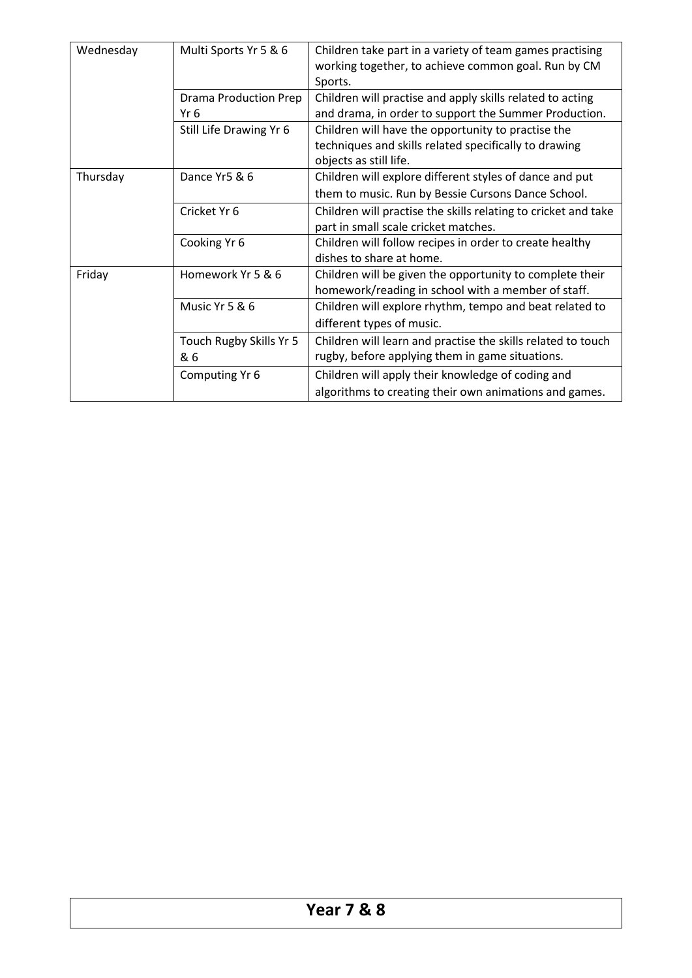| Wednesday | Multi Sports Yr 5 & 6        | Children take part in a variety of team games practising       |
|-----------|------------------------------|----------------------------------------------------------------|
|           |                              | working together, to achieve common goal. Run by CM            |
|           |                              | Sports.                                                        |
|           | <b>Drama Production Prep</b> | Children will practise and apply skills related to acting      |
|           | Yr 6                         | and drama, in order to support the Summer Production.          |
|           | Still Life Drawing Yr 6      | Children will have the opportunity to practise the             |
|           |                              | techniques and skills related specifically to drawing          |
|           |                              | objects as still life.                                         |
| Thursday  | Dance Yr5 & 6                | Children will explore different styles of dance and put        |
|           |                              | them to music. Run by Bessie Cursons Dance School.             |
|           | Cricket Yr 6                 | Children will practise the skills relating to cricket and take |
|           |                              | part in small scale cricket matches.                           |
|           | Cooking Yr 6                 | Children will follow recipes in order to create healthy        |
|           |                              | dishes to share at home.                                       |
| Friday    | Homework Yr 5 & 6            | Children will be given the opportunity to complete their       |
|           |                              | homework/reading in school with a member of staff.             |
|           | Music Yr 5 & 6               | Children will explore rhythm, tempo and beat related to        |
|           |                              | different types of music.                                      |
|           | Touch Rugby Skills Yr 5      | Children will learn and practise the skills related to touch   |
|           | & 6                          | rugby, before applying them in game situations.                |
|           | Computing Yr 6               | Children will apply their knowledge of coding and              |
|           |                              | algorithms to creating their own animations and games.         |